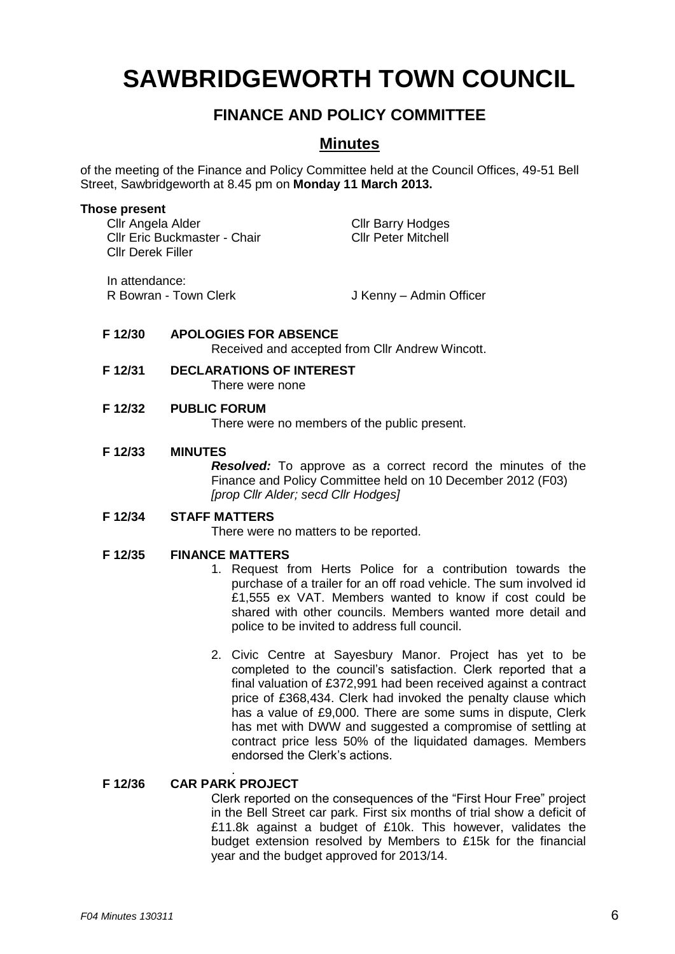# **SAWBRIDGEWORTH TOWN COUNCIL**

# **FINANCE AND POLICY COMMITTEE**

# **Minutes**

of the meeting of the Finance and Policy Committee held at the Council Offices, 49-51 Bell Street, Sawbridgeworth at 8.45 pm on **Monday 11 March 2013.**

#### **Those present**

| Cllr Angela Alder<br><b>CIIr Eric Buckmaster - Chair</b><br><b>CIIr Derek Filler</b> | <b>Cllr Barry Hodges</b><br><b>CIIr Peter Mitchell</b> |
|--------------------------------------------------------------------------------------|--------------------------------------------------------|
| In attendance:                                                                       |                                                        |

R Bowran - Town Clerk J Kenny – Admin Officer

#### **F 12/30 APOLOGIES FOR ABSENCE** Received and accepted from Cllr Andrew Wincott.

#### **F 12/31 DECLARATIONS OF INTEREST** There were none

### **F 12/32 PUBLIC FORUM**

There were no members of the public present.

#### **F 12/33 MINUTES**

*Resolved:* To approve as a correct record the minutes of the Finance and Policy Committee held on 10 December 2012 (F03) *[prop Cllr Alder; secd Cllr Hodges]*

## **F 12/34 STAFF MATTERS**

There were no matters to be reported.

### **F 12/35 FINANCE MATTERS**

- 1. Request from Herts Police for a contribution towards the purchase of a trailer for an off road vehicle. The sum involved id £1,555 ex VAT. Members wanted to know if cost could be shared with other councils. Members wanted more detail and police to be invited to address full council.
- 2. Civic Centre at Sayesbury Manor. Project has yet to be completed to the council's satisfaction. Clerk reported that a final valuation of £372,991 had been received against a contract price of £368,434. Clerk had invoked the penalty clause which has a value of £9,000. There are some sums in dispute, Clerk has met with DWW and suggested a compromise of settling at contract price less 50% of the liquidated damages. Members endorsed the Clerk's actions.

#### . **F 12/36 CAR PARK PROJECT**

Clerk reported on the consequences of the "First Hour Free" project in the Bell Street car park. First six months of trial show a deficit of £11.8k against a budget of £10k. This however, validates the budget extension resolved by Members to £15k for the financial year and the budget approved for 2013/14.